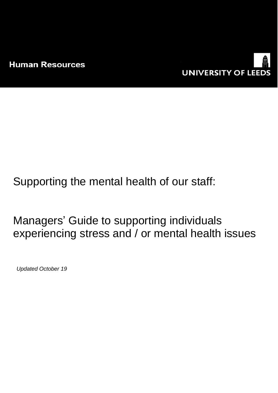

Supporting the mental health of our staff:

Managers' Guide to supporting individuals experiencing stress and / or mental health issues

*Updated October 19*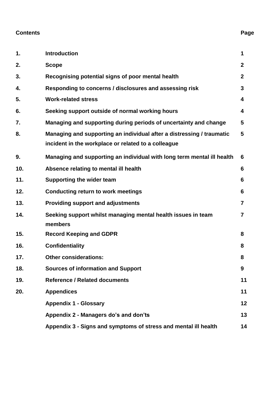#### **Contents Page**

# **1. Introduction 1 2. Scope 2 3. Recognising potential signs of poor mental health 2 4. Responding to concerns / disclosures and assessing risk 3 5. Work-related stress 4 6. Seeking support outside of normal working hours 4 7. Managing and supporting during periods of uncertainty and change 5 8. Managing and supporting an individual after a distressing / traumatic incident in the workplace or related to a colleague 5 9. Managing and supporting an individual with long term mental ill health 6 10. Absence relating to mental ill health 6 11. Supporting the wider team 6 12. Conducting return to work meetings 6 13. Providing support and adjustments 7 14. Seeking support whilst managing mental health issues in team members 7 15. Record Keeping and GDPR 8 16. Confidentiality 8 17. Other considerations: 8 18. Sources of information and Support 9 19. Reference / Related documents 11 20. Appendices 11 Appendix 1 - Glossary 12 Appendix 2 - Managers do's and don'ts 13 Appendix 3 - Signs and symptoms of stress and mental ill health 14**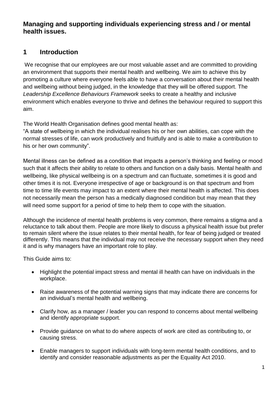#### **Managing and supporting individuals experiencing stress and / or mental health issues.**

### **1 Introduction**

We recognise that our employees are our most valuable asset and are committed to providing an environment that supports their mental health and wellbeing. We aim to achieve this by promoting a culture where everyone feels able to have a conversation about their mental health and wellbeing without being judged, in the knowledge that they will be offered support. The *Leadership Excellence Behaviours Framework* seeks to create a healthy and inclusive environment which enables everyone to thrive and defines the behaviour required to support this aim.

The World Health Organisation defines good mental health as:

"A state of wellbeing in which the individual realises his or her own abilities, can cope with the normal stresses of life, can work productively and fruitfully and is able to make a contribution to his or her own community".

Mental illness can be defined as a condition that impacts a person's thinking and feeling or mood such that it affects their ability to relate to others and function on a daily basis. Mental health and wellbeing, like physical wellbeing is on a spectrum and can fluctuate, sometimes it is good and other times it is not. Everyone irrespective of age or background is on that spectrum and from time to time life events may impact to an extent where their mental health is affected. This does not necessarily mean the person has a medically diagnosed condition but may mean that they will need some support for a period of time to help them to cope with the situation.

Although the incidence of mental health problems is very common, there remains a stigma and a reluctance to talk about them. People are more likely to discuss a physical health issue but prefer to remain silent where the issue relates to their mental health, for fear of being judged or treated differently. This means that the individual may not receive the necessary support when they need it and is why managers have an important role to play.

This Guide aims to:

- Highlight the potential impact stress and mental ill health can have on individuals in the workplace.
- Raise awareness of the potential warning signs that may indicate there are concerns for an individual's mental health and wellbeing.
- Clarify how, as a manager / leader you can respond to concerns about mental wellbeing and identify appropriate support.
- Provide guidance on what to do where aspects of work are cited as contributing to, or causing stress.
- Enable managers to support individuals with long-term mental health conditions, and to identify and consider reasonable adjustments as per the Equality Act 2010.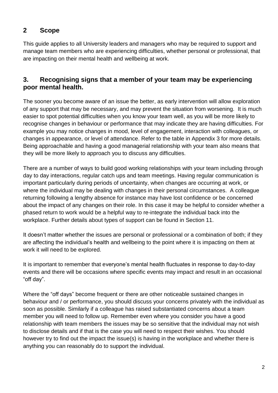## **2 Scope**

This guide applies to all University leaders and managers who may be required to support and manage team members who are experiencing difficulties, whether personal or professional, that are impacting on their mental health and wellbeing at work.

### **3. Recognising signs that a member of your team may be experiencing poor mental health.**

The sooner you become aware of an issue the better, as early intervention will allow exploration of any support that may be necessary, and may prevent the situation from worsening. It is much easier to spot potential difficulties when you know your team well, as you will be more likely to recognise changes in behaviour or performance that may indicate they are having difficulties. For example you may notice changes in mood, level of engagement, interaction with colleagues, or changes in appearance, or level of attendance. Refer to the table in Appendix 3 for more details. Being approachable and having a good managerial relationship with your team also means that they will be more likely to approach you to discuss any difficulties.

There are a number of ways to build good working relationships with your team including through day to day interactions, regular catch ups and team meetings. Having regular communication is important particularly during periods of uncertainty, when changes are occurring at work, or where the individual may be dealing with changes in their personal circumstances. A colleague returning following a lengthy absence for instance may have lost confidence or be concerned about the impact of any changes on their role. In this case it may be helpful to consider whether a phased return to work would be a helpful way to re-integrate the individual back into the workplace. Further details about types of support can be found in Section 11.

It doesn't matter whether the issues are personal or professional or a combination of both; if they are affecting the individual's health and wellbeing to the point where it is impacting on them at work it will need to be explored.

It is important to remember that everyone's mental health fluctuates in response to day-to-day events and there will be occasions where specific events may impact and result in an occasional "off day".

Where the "off days" become frequent or there are other noticeable sustained changes in behaviour and / or performance, you should discuss your concerns privately with the individual as soon as possible. Similarly if a colleague has raised substantiated concerns about a team member you will need to follow up. Remember even where you consider you have a good relationship with team members the issues may be so sensitive that the individual may not wish to disclose details and if that is the case you will need to respect their wishes. You should however try to find out the impact the issue(s) is having in the workplace and whether there is anything you can reasonably do to support the individual.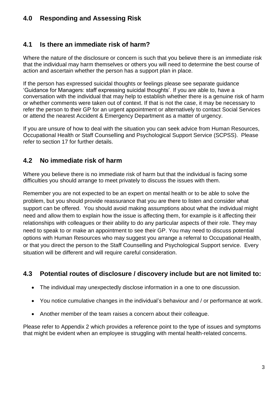## **4.0 Responding and Assessing Risk**

### **4.1 Is there an immediate risk of harm?**

Where the nature of the disclosure or concern is such that you believe there is an immediate risk that the individual may harm themselves or others you will need to determine the best course of action and ascertain whether the person has a support plan in place.

If the person has expressed suicidal thoughts or feelings please see separate guidance 'Guidance for Managers: staff expressing suicidal thoughts'. If you are able to, have a conversation with the individual that may help to establish whether there is a genuine risk of harm or whether comments were taken out of context. If that is not the case, it may be necessary to refer the person to their GP for an urgent appointment or alternatively to contact Social Services or attend the nearest Accident & Emergency Department as a matter of urgency.

If you are unsure of how to deal with the situation you can seek advice from Human Resources, Occupational Health or Staff Counselling and Psychological Support Service (SCPSS). Please refer to section 17 for further details.

## **4.2 No immediate risk of harm**

Where you believe there is no immediate risk of harm but that the individual is facing some difficulties you should arrange to meet privately to discuss the issues with them.

Remember you are not expected to be an expert on mental health or to be able to solve the problem, but you should provide reassurance that you are there to listen and consider what support can be offered. You should avoid making assumptions about what the individual might need and allow them to explain how the issue is affecting them, for example is it affecting their relationships with colleagues or their ability to do any particular aspects of their role. They may need to speak to or make an appointment to see their GP. You may need to discuss potential options with Human Resources who may suggest you arrange a referral to Occupational Health, or that you direct the person to the Staff Counselling and Psychological Support service. Every situation will be different and will require careful consideration.

## **4.3 Potential routes of disclosure / discovery include but are not limited to:**

- The individual may unexpectedly disclose information in a one to one discussion.
- You notice cumulative changes in the individual's behaviour and / or performance at work.
- Another member of the team raises a concern about their colleague.

Please refer to Appendix 2 which provides a reference point to the type of issues and symptoms that might be evident when an employee is struggling with mental health-related concerns.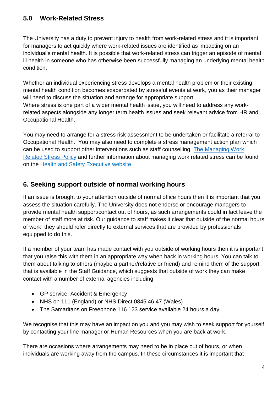## **5.0 Work-Related Stress**

The University has a duty to prevent injury to health from work-related stress and it is important for managers to act quickly where work-related issues are identified as impacting on an individual's mental health. It is possible that work-related stress can trigger an episode of mental ill health in someone who has otherwise been successfully managing an underlying mental health condition.

Whether an individual experiencing stress develops a mental health problem or their existing mental health condition becomes exacerbated by stressful events at work, you as their manager will need to discuss the situation and arrange for appropriate support. Where stress is one part of a wider mental health issue, you will need to address any workrelated aspects alongside any longer term health issues and seek relevant advice from HR and Occupational Health.

You may need to arrange for a stress risk assessment to be undertaken or facilitate a referral to Occupational Health. You may also need to complete a stress management action plan which can be used to support other interventions such as staff counselling. [The Managing Work](https://hr.leeds.ac.uk/downloads/file/47/managing_work_related_stress_policy)  [Related Stress Policy](https://hr.leeds.ac.uk/downloads/file/47/managing_work_related_stress_policy) and further information about managing work related stress can be found on the Health [and Safety Executive website.](https://www.hse.gov.uk/)

### **6. Seeking support outside of normal working hours**

If an issue is brought to your attention outside of normal office hours then it is important that you assess the situation carefully. The University does not endorse or encourage managers to provide mental health support/contact out of hours, as such arrangements could in fact leave the member of staff more at risk. Our guidance to staff makes it clear that outside of the normal hours of work, they should refer directly to external services that are provided by professionals equipped to do this.

If a member of your team has made contact with you outside of working hours then it is important that you raise this with them in an appropriate way when back in working hours. You can talk to them about talking to others (maybe a partner/relative or friend) and remind them of the support that is available in the Staff Guidance, which suggests that outside of work they can make contact with a number of external agencies including:

- GP service, Accident & Emergency
- NHS on 111 (England) or NHS Direct 0845 46 47 (Wales)
- The Samaritans on Freephone 116 123 service available 24 hours a day,

We recognise that this may have an impact on you and you may wish to seek support for yourself by contacting your line manager or Human Resources when you are back at work.

There are occasions where arrangements may need to be in place out of hours, or when individuals are working away from the campus. In these circumstances it is important that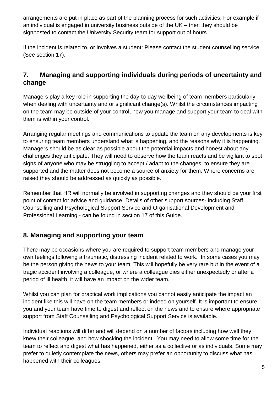arrangements are put in place as part of the planning process for such activities. For example if an individual is engaged in university business outside of the UK – then they should be signposted to contact the University Security team for support out of hours

If the incident is related to, or involves a student: Please contact the student counselling service (See section 17).

## **7. Managing and supporting individuals during periods of uncertainty and change**

Managers play a key role in supporting the day-to-day wellbeing of team members particularly when dealing with uncertainty and or significant change(s). Whilst the circumstances impacting on the team may be outside of your control, how you manage and support your team to deal with them is within your control.

Arranging regular meetings and communications to update the team on any developments is key to ensuring team members understand what is happening, and the reasons why it is happening. Managers should be as clear as possible about the potential impacts and honest about any challenges they anticipate. They will need to observe how the team reacts and be vigilant to spot signs of anyone who may be struggling to accept / adapt to the changes, to ensure they are supported and the matter does not become a source of anxiety for them. Where concerns are raised they should be addressed as quickly as possible.

Remember that HR will normally be involved in supporting changes and they should be your first point of contact for advice and guidance. Details of other support sources- including Staff Counselling and Psychological Support Service and Organisational Development and Professional Learning - can be found in section 17 of this Guide.

## **8. Managing and supporting your team**

There may be occasions where you are required to support team members and manage your own feelings following a traumatic, distressing incident related to work. In some cases you may be the person giving the news to your team. This will hopefully be very rare but in the event of a tragic accident involving a colleague, or where a colleague dies either unexpectedly or after a period of ill health, it will have an impact on the wider team.

Whilst you can plan for practical work implications you cannot easily anticipate the impact an incident like this will have on the team members or indeed on yourself. It is important to ensure you and your team have time to digest and reflect on the news and to ensure where appropriate support from Staff Counselling and Psychological Support Service is available.

Individual reactions will differ and will depend on a number of factors including how well they knew their colleague, and how shocking the incident. You may need to allow some time for the team to reflect and digest what has happened, either as a collective or as individuals. Some may prefer to quietly contemplate the news, others may prefer an opportunity to discuss what has happened with their colleagues.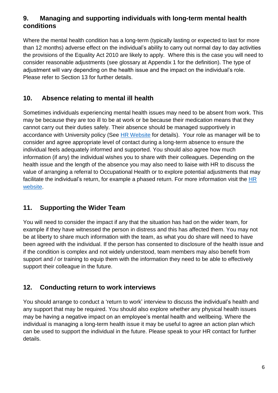### **9. Managing and supporting individuals with long-term mental health conditions**

Where the mental health condition has a long-term (typically lasting or expected to last for more than 12 months) adverse effect on the individual's ability to carry out normal day to day activities the provisions of the Equality Act 2010 are likely to apply. Where this is the case you will need to consider reasonable adjustments (see glossary at Appendix 1 for the definition). The type of adjustment will vary depending on the health issue and the impact on the individual's role. Please refer to Section 13 for further details.

## **10. Absence relating to mental ill health**

Sometimes individuals experiencing mental health issues may need to be absent from work. This may be because they are too ill to be at work or be because their medication means that they cannot carry out their duties safely. Their absence should be managed supportively in accordance with University policy (See [HR Website](https://hr.leeds.ac.uk/downloads/38/sickness_absence) for details). Your role as manager will be to consider and agree appropriate level of contact during a long-term absence to ensure the individual feels adequately informed and supported. You should also agree how much information (if any) the individual wishes you to share with their colleagues. Depending on the health issue and the length of the absence you may also need to liaise with HR to discuss the value of arranging a referral to Occupational Health or to explore potential adjustments that may facilitate the individual's return, for example a phased return. For more information visit the HR [website.](http://hr.leeds.ac.uk/)

## **11. Supporting the Wider Team**

You will need to consider the impact if any that the situation has had on the wider team, for example if they have witnessed the person in distress and this has affected them. You may not be at liberty to share much information with the team, as what you do share will need to have been agreed with the individual. If the person has consented to disclosure of the health issue and if the condition is complex and not widely understood, team members may also benefit from support and / or training to equip them with the information they need to be able to effectively support their colleague in the future.

## **12. Conducting return to work interviews**

You should arrange to conduct a 'return to work' interview to discuss the individual's health and any support that may be required. You should also explore whether any physical health issues may be having a negative impact on an employee's mental health and wellbeing. Where the individual is managing a long-term health issue it may be useful to agree an action plan which can be used to support the individual in the future. Please speak to your HR contact for further details.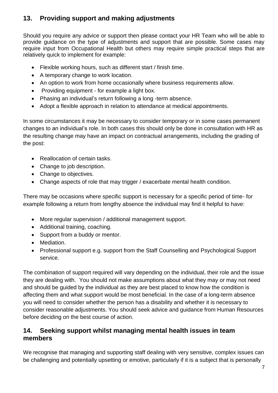## **13. Providing support and making adjustments**

Should you require any advice or support then please contact your HR Team who will be able to provide guidance on the type of adjustments and support that are possible. Some cases may require input from Occupational Health but others may require simple practical steps that are relatively quick to implement for example:

- Flexible working hours, such as different start / finish time.
- A temporary change to work location.
- An option to work from home occasionally where business requirements allow.
- Providing equipment for example a light box.
- Phasing an individual's return following a long -term absence.
- Adopt a flexible approach in relation to attendance at medical appointments.

In some circumstances it may be necessary to consider temporary or in some cases permanent changes to an individual's role. In both cases this should only be done in consultation with HR as the resulting change may have an impact on contractual arrangements, including the grading of the post:

- Reallocation of certain tasks.
- Change to job description.
- Change to objectives.
- Change aspects of role that may trigger / exacerbate mental health condition.

There may be occasions where specific support is necessary for a specific period of time- for example following a return from lengthy absence the individual may find it helpful to have:

- More regular supervision / additional management support.
- Additional training, coaching.
- Support from a buddy or mentor.
- Mediation.
- Professional support e.g. support from the Staff Counselling and Psychological Support service.

The combination of support required will vary depending on the individual, their role and the issue they are dealing with. You should not make assumptions about what they may or may not need and should be guided by the individual as they are best placed to know how the condition is affecting them and what support would be most beneficial. In the case of a long-term absence you will need to consider whether the person has a disability and whether it is necessary to consider reasonable adjustments. You should seek advice and guidance from Human Resources before deciding on the best course of action.

## **14. Seeking support whilst managing mental health issues in team members**

We recognise that managing and supporting staff dealing with very sensitive, complex issues can be challenging and potentially upsetting or emotive, particularly if it is a subject that is personally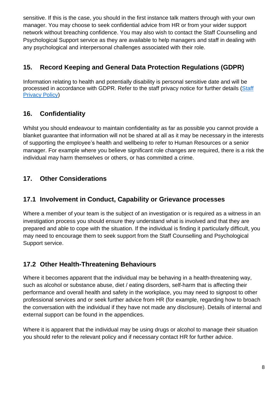sensitive. If this is the case, you should in the first instance talk matters through with your own manager. You may choose to seek confidential advice from HR or from your wider support network without breaching confidence. You may also wish to contact the Staff Counselling and Psychological Support service as they are available to help managers and staff in dealing with any psychological and interpersonal challenges associated with their role.

## **15. Record Keeping and General Data Protection Regulations (GDPR)**

Information relating to health and potentially disability is personal sensitive date and will be processed in accordance with GDPR. Refer to the staff privacy notice for further details (Staff [Privacy Policy\)](http://www.leeds.ac.uk/secretariat/documents/staff_privacy_notice.pdf)

## **16. Confidentiality**

Whilst you should endeavour to maintain confidentiality as far as possible you cannot provide a blanket guarantee that information will not be shared at all as it may be necessary in the interests of supporting the employee's health and wellbeing to refer to Human Resources or a senior manager. For example where you believe significant role changes are required, there is a risk the individual may harm themselves or others, or has committed a crime.

## **17. Other Considerations**

## **17.1 Involvement in Conduct, Capability or Grievance processes**

Where a member of your team is the subject of an investigation or is required as a witness in an investigation process you should ensure they understand what is involved and that they are prepared and able to cope with the situation. If the individual is finding it particularly difficult, you may need to encourage them to seek support from the Staff Counselling and Psychological Support service.

## **17.2 Other Health-Threatening Behaviours**

Where it becomes apparent that the individual may be behaving in a health-threatening way, such as alcohol or substance abuse, diet / eating disorders, self-harm that is affecting their performance and overall health and safety in the workplace, you may need to signpost to other professional services and or seek further advice from HR (for example, regarding how to broach the conversation with the individual if they have not made any disclosure). Details of internal and external support can be found in the appendices.

Where it is apparent that the individual may be using drugs or alcohol to manage their situation you should refer to the relevant policy and if necessary contact HR for further advice.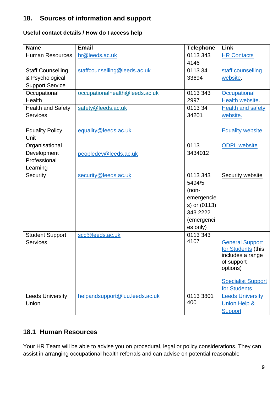## **18. Sources of information and support**

#### **Useful contact details / How do I access help**

| <b>Email</b>   | <b>Telephone</b>                                                                                                                                                                                                   | Link                                                                                                                                                                                                    |
|----------------|--------------------------------------------------------------------------------------------------------------------------------------------------------------------------------------------------------------------|---------------------------------------------------------------------------------------------------------------------------------------------------------------------------------------------------------|
| hr@leeds.ac.uk | 0113 343                                                                                                                                                                                                           | <b>HR Contacts</b>                                                                                                                                                                                      |
|                | 4146                                                                                                                                                                                                               |                                                                                                                                                                                                         |
|                |                                                                                                                                                                                                                    | staff counselling                                                                                                                                                                                       |
|                |                                                                                                                                                                                                                    | website.                                                                                                                                                                                                |
|                |                                                                                                                                                                                                                    |                                                                                                                                                                                                         |
|                |                                                                                                                                                                                                                    | Occupational                                                                                                                                                                                            |
|                |                                                                                                                                                                                                                    | Health website.                                                                                                                                                                                         |
|                |                                                                                                                                                                                                                    | <b>Health and safety</b>                                                                                                                                                                                |
|                |                                                                                                                                                                                                                    | website.                                                                                                                                                                                                |
|                |                                                                                                                                                                                                                    |                                                                                                                                                                                                         |
|                |                                                                                                                                                                                                                    | <b>Equality website</b>                                                                                                                                                                                 |
|                |                                                                                                                                                                                                                    |                                                                                                                                                                                                         |
|                |                                                                                                                                                                                                                    | <b>ODPL</b> website                                                                                                                                                                                     |
|                |                                                                                                                                                                                                                    |                                                                                                                                                                                                         |
|                |                                                                                                                                                                                                                    |                                                                                                                                                                                                         |
|                |                                                                                                                                                                                                                    |                                                                                                                                                                                                         |
|                |                                                                                                                                                                                                                    | <b>Security website</b>                                                                                                                                                                                 |
|                |                                                                                                                                                                                                                    |                                                                                                                                                                                                         |
|                |                                                                                                                                                                                                                    |                                                                                                                                                                                                         |
|                |                                                                                                                                                                                                                    |                                                                                                                                                                                                         |
|                |                                                                                                                                                                                                                    |                                                                                                                                                                                                         |
|                |                                                                                                                                                                                                                    |                                                                                                                                                                                                         |
|                |                                                                                                                                                                                                                    |                                                                                                                                                                                                         |
|                |                                                                                                                                                                                                                    |                                                                                                                                                                                                         |
|                | 4107                                                                                                                                                                                                               | <b>General Support</b>                                                                                                                                                                                  |
|                |                                                                                                                                                                                                                    | for Students (this                                                                                                                                                                                      |
|                |                                                                                                                                                                                                                    | includes a range                                                                                                                                                                                        |
|                |                                                                                                                                                                                                                    | of support                                                                                                                                                                                              |
|                |                                                                                                                                                                                                                    | options)                                                                                                                                                                                                |
|                |                                                                                                                                                                                                                    | <b>Specialist Support</b>                                                                                                                                                                               |
|                |                                                                                                                                                                                                                    | for Students                                                                                                                                                                                            |
|                |                                                                                                                                                                                                                    | <b>Leeds University</b>                                                                                                                                                                                 |
|                | 400                                                                                                                                                                                                                | <b>Union Help &amp;</b>                                                                                                                                                                                 |
|                |                                                                                                                                                                                                                    | <b>Support</b>                                                                                                                                                                                          |
|                | staffcounselling@leeds.ac.uk<br>occupationalhealth@leeds.ac.uk<br>safety@leeds.ac.uk<br>equality@leeds.ac.uk<br>peopledev@leeds.ac.uk<br>security@leeds.ac.uk<br>scc@leeds.ac.uk<br>helpandsupport@luu.leeds.ac.uk | 011334<br>33694<br>0113 343<br>2997<br>011334<br>34201<br>0113<br>3434012<br>0113 343<br>5494/5<br>$(non-$<br>emergencie<br>s) or (0113)<br>343 2222<br>(emergenci<br>es only)<br>0113 343<br>0113 3801 |

## **18.1 Human Resources**

Your HR Team will be able to advise you on procedural, legal or policy considerations. They can assist in arranging occupational health referrals and can advise on potential reasonable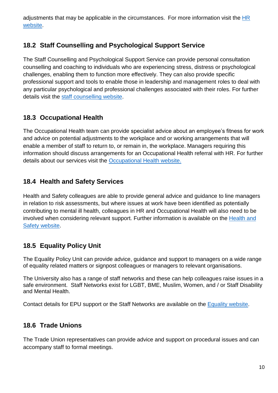adjustments that may be applicable in the circumstances. For more information visit the HR [website.](http://hr.leeds.ac.uk/)

## **18.2 Staff Counselling and Psychological Support Service**

The Staff Counselling and Psychological Support Service can provide personal consultation counselling and coaching to individuals who are experiencing stress, distress or psychological challenges, enabling them to function more effectively. They can also provide specific professional support and tools to enable those in leadership and management roles to deal with any particular psychological and professional challenges associated with their roles. For further details visit the [staff counselling website.](http://wsh.leeds.ac.uk/info/134/staff%20counselling%20and%20psychological%20supportcontact)

## **18.3 Occupational Health**

The Occupational Health team can provide specialist advice about an employee's fitness for work and advice on potential adjustments to the workplace and or working arrangements that will enable a member of staff to return to, or remain in, the workplace. Managers requiring this information should discuss arrangements for an Occupational Health referral with HR. For further details about our services visit the [Occupational Health website.](http://wsh.leeds.ac.uk/info/132/occupational%20health%20service)

## **18.4 Health and Safety Services**

Health and Safety colleagues are able to provide general advice and guidance to line managers in relation to risk assessments, but where issues at work have been identified as potentially contributing to mental ill health, colleagues in HR and Occupational Health will also need to be involved when considering relevant support. Further information is available on the [Health](http://wsh.leeds.ac.uk/wsh/info/131/health_and_safety) and Safety [website.](http://wsh.leeds.ac.uk/wsh/info/131/health_and_safety)

## **18.5 Equality Policy Unit**

The Equality Policy Unit can provide advice, guidance and support to managers on a wide range of equality related matters or signpost colleagues or managers to relevant organisations.

The University also has a range of staff networks and these can help colleagues raise issues in a safe environment. Staff Networks exist for LGBT, BME, Muslim, Women, and / or Staff Disability and Mental Health.

Contact details for EPU support or the Staff Networks are available on the [Equality website.](https://equality.leeds.ac.uk/)

## **18.6 Trade Unions**

The Trade Union representatives can provide advice and support on procedural issues and can accompany staff to formal meetings.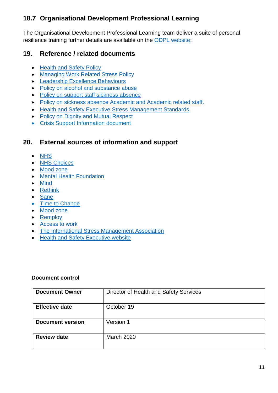## **18.7 Organisational Development Professional Learning**

The Organisational Development Professional Learning team deliver a suite of personal resilience training further details are available on the [ODPL website:](https://peopledevelopment.leeds.ac.uk/)

## **19. Reference / related documents**

- [Health and Safety Policy](http://wsh.leeds.ac.uk/info/137/health_and_safety_policy/125/health_and_safety_policy)
- [Managing Work Related Stress](http://hr.leeds.ac.uk/info/34/support_and_wellbeing/39/managing_stress_at_work) Policy
- [Leadership Excellence Behaviours](https://www.sdduonline.leeds.ac.uk/behaviours/)
- [Policy on alcohol and substance](http://hr.leeds.ac.uk/info/34/support_and_wellbeing/166/alcohol_and_substance_abuse) abuse
- [Policy on support staff sickness absence](http://hr.leeds.ac.uk/info/38/sickness_absence/41/support_staff_sickness_absence)
- [Policy on sickness absence Academic and Academic related](http://hr.leeds.ac.uk/info/38/sickness_absence/170/academic_academic_related_professional_and_managerial_staff_sickness_absence) staff.
- [Health and Safety Executive Stress Management Standards](http://www.hse.gov.uk/stress/standards/)
- [Policy on Dignity and Mutual Respect](http://hr.leeds.ac.uk/info/34/support_and_wellbeing/24/dignity_and_mutual_respectalcohol_and_substance_abuse)
- Crisis Support Information document

### **20. External sources of information and support**

- [NHS](https://www.nhs.uk/)
- [NHS Choices](http://www.nhs.uk/livewell/mentalhealth)
- [Mood zone](https://www.nhs.uk/conditions/stress-anxiety-depression/)
- **•** [Mental Health Foundation](https://www.mentalhealth.org.uk/)
- [Mind](https://www.mind.org.uk/)
- [Rethink](https://www.rethink.org/)
- [Sane](http://www.sane.org.uk/)
- [Time to Change](https://www.time-to-change.org.uk/)
- [Mood zone](https://www.nhs.uk/conditions/stress-anxiety-depression/)
- [Remploy](https://remploy.co.uk/)
- [Access to work](https://www.gov.uk/access-to-work)
- [The International Stress Management Association](https://isma.or.uk/)
- [Health and Safety Executive website](https://www.hse.gov.uk/)

#### **Document control**

| <b>Document Owner</b>   | Director of Health and Safety Services |
|-------------------------|----------------------------------------|
| <b>Effective date</b>   | October 19                             |
| <b>Document version</b> | Version 1                              |
| <b>Review date</b>      | March 2020                             |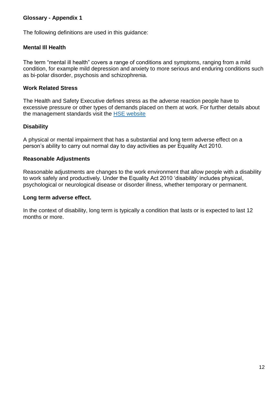#### **Glossary - Appendix 1**

The following definitions are used in this guidance:

#### **Mental Ill Health**

The term "mental ill health" covers a range of conditions and symptoms, ranging from a mild condition, for example mild depression and anxiety to more serious and enduring conditions such as bi-polar disorder, psychosis and schizophrenia.

#### **Work Related Stress**

The Health and Safety Executive defines stress as the adverse reaction people have to excessive pressure or other types of demands placed on them at work. For further details about the management standards visit the [HSE website](http://www.hse.gov.uk/pubns/wbk01.htm)

#### **Disability**

A physical or mental impairment that has a substantial and long term adverse effect on a person's ability to carry out normal day to day activities as per Equality Act 2010.

#### **Reasonable Adjustments**

Reasonable adjustments are changes to the work environment that allow people with a disability to work safely and productively. Under the Equality Act 2010 'disability' includes physical, psychological or neurological disease or disorder illness, whether temporary or permanent.

#### **Long term adverse effect.**

In the context of disability, long term is typically a condition that lasts or is expected to last 12 months or more.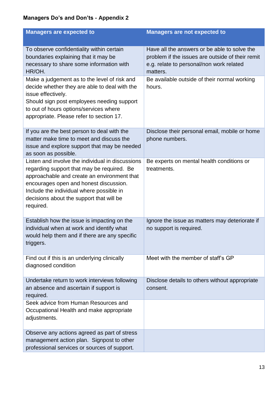## **Managers Do's and Don'ts - Appendix 2**

| <b>Managers are expected to</b>                                                                                                                                                                                                                                                              | <b>Managers are not expected to</b>                                                                                                                      |
|----------------------------------------------------------------------------------------------------------------------------------------------------------------------------------------------------------------------------------------------------------------------------------------------|----------------------------------------------------------------------------------------------------------------------------------------------------------|
| To observe confidentiality within certain<br>boundaries explaining that it may be<br>necessary to share some information with<br>HR/OH.                                                                                                                                                      | Have all the answers or be able to solve the<br>problem if the issues are outside of their remit<br>e.g. relate to personal/non work related<br>matters. |
| Make a judgement as to the level of risk and<br>decide whether they are able to deal with the<br>issue effectively.<br>Should sign post employees needing support<br>to out of hours options/services where<br>appropriate. Please refer to section 17.                                      | Be available outside of their normal working<br>hours.                                                                                                   |
| If you are the best person to deal with the<br>matter make time to meet and discuss the<br>issue and explore support that may be needed<br>as soon as possible.                                                                                                                              | Disclose their personal email, mobile or home<br>phone numbers.                                                                                          |
| Listen and involve the individual in discussions<br>regarding support that may be required. Be<br>approachable and create an environment that<br>encourages open and honest discussion.<br>Include the individual where possible in<br>decisions about the support that will be<br>required. | Be experts on mental health conditions or<br>treatments.                                                                                                 |
| Establish how the issue is impacting on the<br>individual when at work and identify what<br>would help them and if there are any specific<br>triggers.                                                                                                                                       | Ignore the issue as matters may deteriorate if<br>no support is required.                                                                                |
| Find out if this is an underlying clinically<br>diagnosed condition                                                                                                                                                                                                                          | Meet with the member of staff's GP                                                                                                                       |
| Undertake return to work interviews following<br>an absence and ascertain if support is<br>required.                                                                                                                                                                                         | Disclose details to others without appropriate<br>consent.                                                                                               |
| Seek advice from Human Resources and<br>Occupational Health and make appropriate<br>adjustments.                                                                                                                                                                                             |                                                                                                                                                          |
| Observe any actions agreed as part of stress<br>management action plan. Signpost to other<br>professional services or sources of support.                                                                                                                                                    |                                                                                                                                                          |